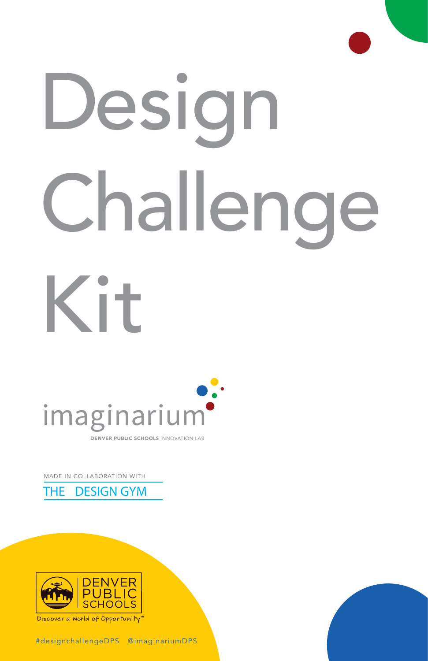

# Design Challenge Kit



MADE IN COLLABORATION WITH





Discover a World of Opportunity'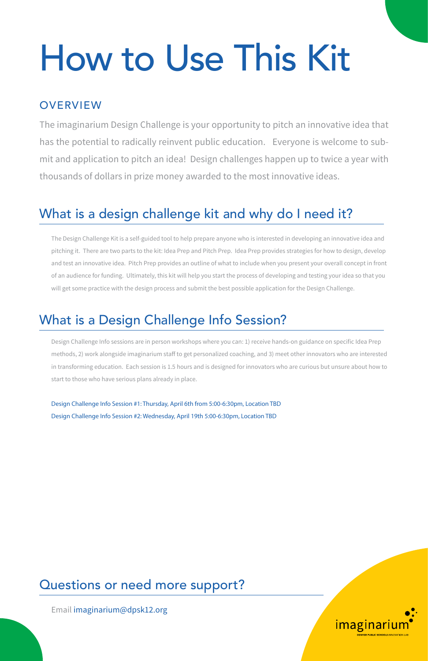# How to Use This Kit

#### **OVERVIEW**

The imaginarium Design Challenge is your opportunity to pitch an innovative idea that has the potential to radically reinvent public education. Everyone is welcome to submit and application to pitch an idea! Design challenges happen up to twice a year with thousands of dollars in prize money awarded to the most innovative ideas.

#### What is a design challenge kit and why do I need it?

The Design Challenge Kit is a self-guided tool to help prepare anyone who is interested in developing an innovative idea and pitching it. There are two parts to the kit: Idea Prep and Pitch Prep. Idea Prep provides strategies for how to design, develop and test an innovative idea. Pitch Prep provides an outline of what to include when you present your overall concept in front of an audience for funding. Ultimately, this kit will help you start the process of developing and testing your idea so that you will get some practice with the design process and submit the best possible application for the Design Challenge.

#### What is a Design Challenge Info Session?

Design Challenge Info sessions are in person workshops where you can: 1) receive hands-on guidance on specific Idea Prep methods, 2) work alongside imaginarium staff to get personalized coaching, and 3) meet other innovators who are interested in transforming education. Each session is 1.5 hours and is designed for innovators who are curious but unsure about how to start to those who have serious plans already in place.

Design Challenge Info Session #1: Thursday, April 6th from 5:00-6:30pm, Location TBD Design Challenge Info Session #2: Wednesday, April 19th 5:00-6:30pm, Location TBD

#### Questions or need more support?

Email [imaginarium@dpsk12.org](mailto: imaginarium@dpsk12.org )

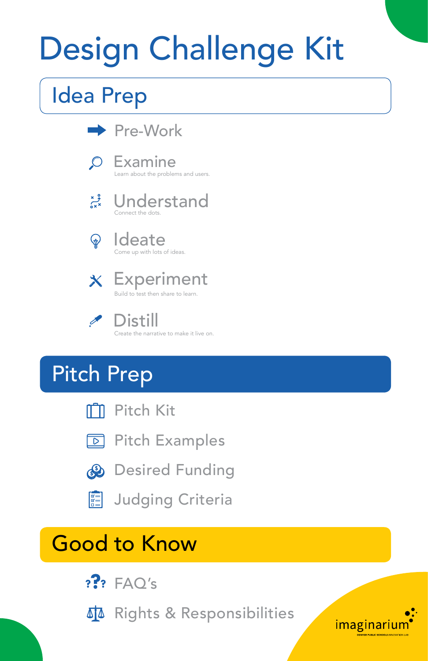# Design Challenge Kit

### Idea Prep



Build to test then share to learn



 Distill Create the narrative to make it live on.

### Pitch Prep



**ITTI** Pitch Kit





**图 Judging Criteria** 

### Good to Know

- $?$ ? FAO's
- **M** Rights & Responsibilities

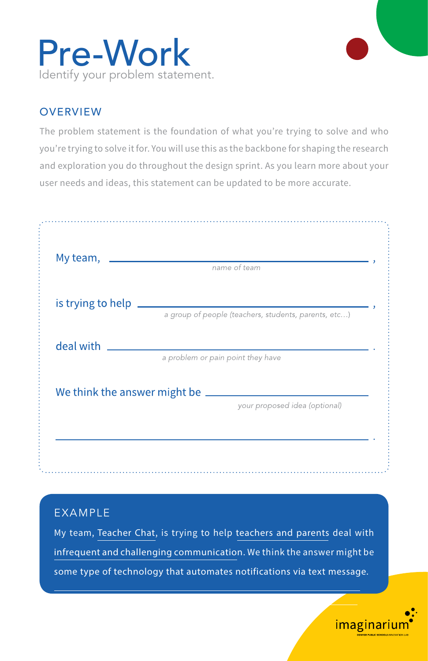

The problem statement is the foundation of what you're trying to solve and who you're trying to solve it for. You will use this as the backbone for shaping the research and exploration you do throughout the design sprint. As you learn more about your user needs and ideas, this statement can be updated to be more accurate.

| My team,                          | name of team                                         |  |
|-----------------------------------|------------------------------------------------------|--|
| is trying to help                 |                                                      |  |
|                                   | a group of people (teachers, students, parents, etc) |  |
| deal with                         |                                                      |  |
|                                   | a problem or pain point they have                    |  |
| We think the answer might be ____ |                                                      |  |
|                                   | your proposed idea (optional)                        |  |
|                                   |                                                      |  |

#### **FXAMPLE**

My team, Teacher Chat, is trying to help teachers and parents deal with infrequent and challenging communication. We think the answer might be some type of technology that automates notifications via text message.

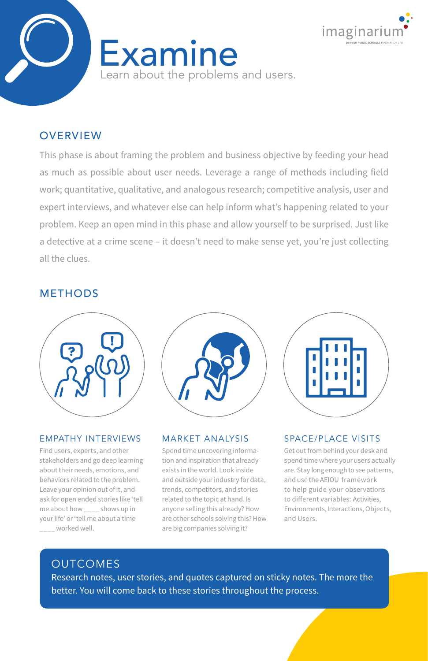



This phase is about framing the problem and business objective by feeding your head as much as possible about user needs. Leverage a range of methods including field work; quantitative, qualitative, and analogous research; competitive analysis, user and expert interviews, and whatever else can help inform what's happening related to your problem. Keep an open mind in this phase and allow yourself to be surprised. Just like a detective at a crime scene – it doesn't need to make sense yet, you're just collecting all the clues.

#### METHODS



#### EMPATHY INTERVIEWS

Find users, experts, and other stakeholders and go deep learning about their needs, emotions, and behaviors related to the problem. Leave your opinion out of it, and ask for open ended stories like 'tell me about how \_\_\_\_ shows up in your life' or 'tell me about a time \_\_\_\_ worked well.



#### MARKET ANALYSIS

Spend time uncovering information and inspiration that already exists in the world. Look inside and outside your industry for data, trends, competitors, and stories related to the topic at hand. Is anyone selling this already? How are other schools solving this? How are big companies solving it?



#### SPACE/PLACE VISITS

Get out from behind your desk and spend time where your users actually are. Stay long enough to see patterns, and use the AEIOU framework to help guide your observations to different variables: Activities, Environments, Interactions, Objects, and Users.

#### OUTCOMES

Research notes, user stories, and quotes captured on sticky notes. The more the better. You will come back to these stories throughout the process.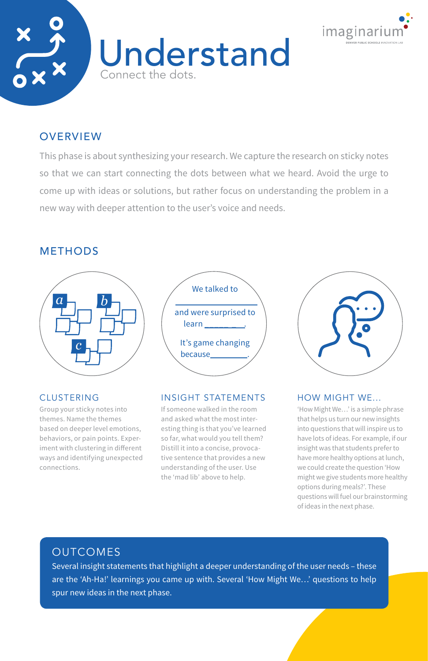



This phase is about synthesizing your research. We capture the research on sticky notes so that we can start connecting the dots between what we heard. Avoid the urge to come up with ideas or solutions, but rather focus on understanding the problem in a new way with deeper attention to the user's voice and needs.

#### METHODS



#### CLUSTERING

Group your sticky notes into themes. Name the themes based on deeper level emotions, behaviors, or pain points. Experiment with clustering in different ways and identifying unexpected connections.



#### INSIGHT STATEMENTS

If someone walked in the room and asked what the most interesting thing is that you've learned so far, what would you tell them? Distill it into a concise, provocative sentence that provides a new understanding of the user. Use the 'mad lib' above to help.



#### HOW MIGHT WE...

'How Might We…' is a simple phrase that helps us turn our new insights into questions that will inspire us to have lots of ideas. For example, if our insight was that students prefer to have more healthy options at lunch, we could create the question 'How might we give students more healthy options during meals?'. These questions will fuel our brainstorming of ideas in the next phase.

#### OUTCOMES

Several insight statements that highlight a deeper understanding of the user needs – these are the 'Ah-Ha!' learnings you came up with. Several 'How Might We…' questions to help spur new ideas in the next phase.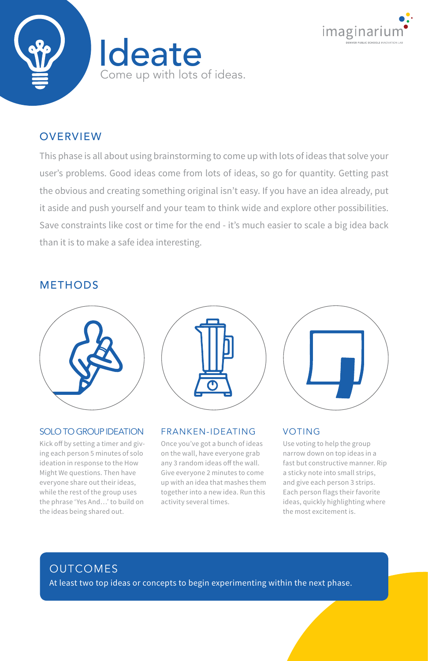



This phase is all about using brainstorming to come up with lots of ideas that solve your user's problems. Good ideas come from lots of ideas, so go for quantity. Getting past the obvious and creating something original isn't easy. If you have an idea already, put it aside and push yourself and your team to think wide and explore other possibilities. Save constraints like cost or time for the end - it's much easier to scale a big idea back than it is to make a safe idea interesting.

#### **METHODS**



#### SOLO TO GROUP IDEATION

Kick off by setting a timer and giving each person 5 minutes of solo ideation in response to the How Might We questions. Then have everyone share out their ideas, while the rest of the group uses the phrase 'Yes And…' to build on the ideas being shared out.



#### FRANKEN-IDEATING

Once you've got a bunch of ideas on the wall, have everyone grab any 3 random ideas off the wall. Give everyone 2 minutes to come up with an idea that mashes them together into a new idea. Run this activity several times.



#### VOTING

Use voting to help the group narrow down on top ideas in a fast but constructive manner. Rip a sticky note into small strips, and give each person 3 strips. Each person flags their favorite ideas, quickly highlighting where the most excitement is.

#### OUTCOMES

At least two top ideas or concepts to begin experimenting within the next phase.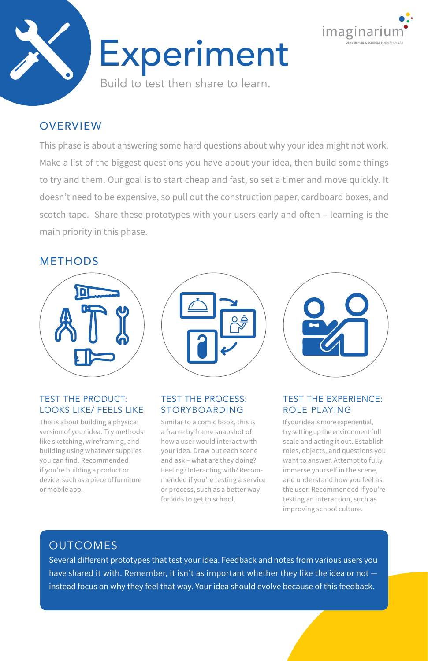



This phase is about answering some hard questions about why your idea might not work. Make a list of the biggest questions you have about your idea, then build some things to try and them. Our goal is to start cheap and fast, so set a timer and move quickly. It doesn't need to be expensive, so pull out the construction paper, cardboard boxes, and scotch tape. Share these prototypes with your users early and often – learning is the main priority in this phase.

#### **METHODS**



#### TEST THE PRODUCT: LOOKS LIKE/ FEELS LIKE

This is about building a physical version of your idea. Try methods like sketching, wireframing, and building using whatever supplies you can find. Recommended if you're building a product or device, such as a piece of furniture or mobile app.



#### TEST THE PROCESS: STORYBOARDING

Similar to a comic book, this is a frame by frame snapshot of how a user would interact with your idea. Draw out each scene and ask – what are they doing? Feeling? Interacting with? Recommended if you're testing a service or process, such as a better way for kids to get to school.



#### TEST THE EXPERIENCE: ROLE PLAYING

If your idea is more experiential, try setting up the environment full scale and acting it out. Establish roles, objects, and questions you want to answer. Attempt to fully immerse yourself in the scene, and understand how you feel as the user. Recommended if you're testing an interaction, such as improving school culture.

#### OUTCOMES

Several different prototypes that test your idea. Feedback and notes from various users you have shared it with. Remember, it isn't as important whether they like the idea or not instead focus on why they feel that way. Your idea should evolve because of this feedback.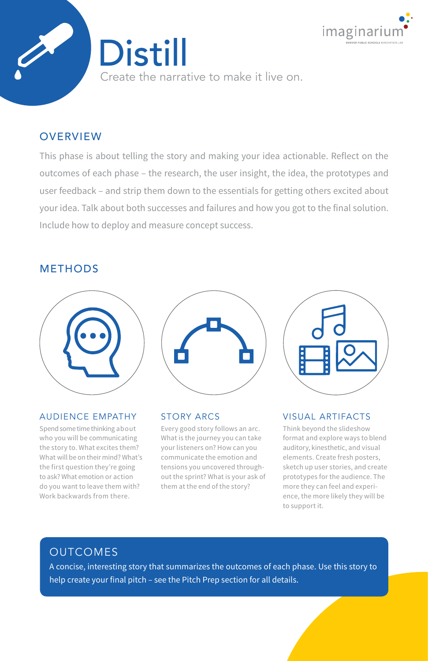

Create the narrative to make it live on.

Distill

#### **OVERVIEW**

This phase is about telling the story and making your idea actionable. Reflect on the outcomes of each phase – the research, the user insight, the idea, the prototypes and user feedback – and strip them down to the essentials for getting others excited about your idea. Talk about both successes and failures and how you got to the final solution. Include how to deploy and measure concept success.

#### METHODS



#### AUDIENCE EMPATHY

Spend some time thinking about who you will be communicating the story to. What excites them? What will be on their mind? What's the first question they're going to ask? What emotion or action do you want to leave them with? Work backwards from there.



#### STORY ARCS

Every good story follows an arc. What is the journey you can take your listeners on? How can you communicate the emotion and tensions you uncovered throughout the sprint? What is your ask of them at the end of the story?



#### VISUAL ARTIFACTS

Think beyond the slideshow format and explore ways to blend auditory, kinesthetic, and visual elements. Create fresh posters, sketch up user stories, and create prototypes for the audience. The more they can feel and experience, the more likely they will be to support it.

#### OUTCOMES

A concise, interesting story that summarizes the outcomes of each phase. Use this story to help create your final pitch – see the Pitch Prep section for all details.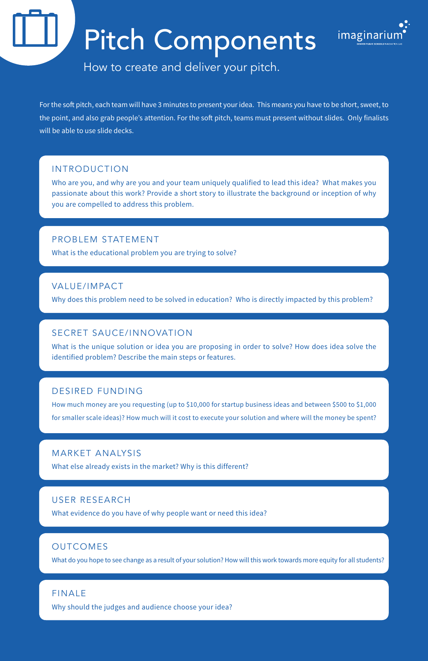### Pitch Components



How to create and deliver your pitch.

For the soft pitch, each team will have 3 minutes to present your idea. This means you have to be short, sweet, to the point, and also grab people's attention. For the soft pitch, teams must present without slides. Only finalists will be able to use slide decks.

#### INTRODUCTION

Who are you, and why are you and your team uniquely qualified to lead this idea? What makes you passionate about this work? Provide a short story to illustrate the background or inception of why you are compelled to address this problem.

#### PROBLEM STATEMENT

What is the educational problem you are trying to solve?

#### VALUE/IMPACT

Why does this problem need to be solved in education? Who is directly impacted by this problem?

#### SECRET SAUCE/INNOVATION

What is the unique solution or idea you are proposing in order to solve? How does idea solve the identified problem? Describe the main steps or features.

#### DESIRED FUNDING

How much money are you requesting (up to \$10,000 for startup business ideas and between \$500 to \$1,000 for smaller scale ideas)? How much will it cost to execute your solution and where will the money be spent?

#### MARKET ANALYSIS

What else already exists in the market? Why is this different?

#### USER RESEARCH

What evidence do you have of why people want or need this idea?

#### OUTCOMES

What do you hope to see change as a result of your solution? How will this work towards more equity for all students?

#### FINALE

Why should the judges and audience choose your idea?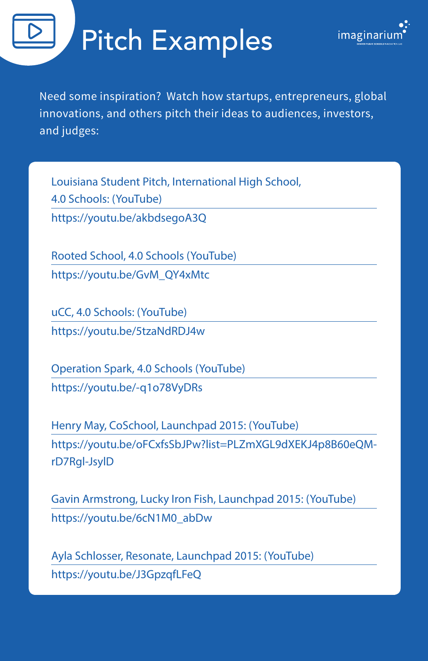## Pitch Examples



Need some inspiration? Watch how startups, entrepreneurs, global innovations, and others pitch their ideas to audiences, investors, and judges:

Louisiana Student Pitch, International High School, 4.0 Schools: (YouTube) <https://youtu.be/akbdsegoA3Q>

Rooted School, 4.0 Schools (YouTube) [https://youtu.be/GvM\\_QY4xMtc](https://youtu.be/GvM_QY4xMtc)

uCC, 4.0 Schools: (YouTube) <https://youtu.be/5tzaNdRDJ4w>

Operation Spark, 4.0 Schools (YouTube) [https://youtu.be/-q1o78VyDRs](https://youtu.be/5tzaNdRDJ4w) 

Henry May, CoSchool, Launchpad 2015: (YouTube) [https://youtu.be/oFCxfsSbJPw?list=PLZmXGL9dXEKJ4p8B60eQM](https://youtu.be/oFCxfsSbJPw?list=PLZmXGL9dXEKJ4p8B60eQMrD7Rgl-JsylD)[rD7Rgl-JsylD](https://youtu.be/oFCxfsSbJPw?list=PLZmXGL9dXEKJ4p8B60eQMrD7Rgl-JsylD)

Gavin Armstrong, Lucky Iron Fish, Launchpad 2015: (YouTube) [https://youtu.be/6cN1M0\\_abDw](https://youtu.be/6cN1M0_abDw)

Ayla Schlosser, Resonate, Launchpad 2015: (YouTube) <https://youtu.be/J3GpzqfLFeQ>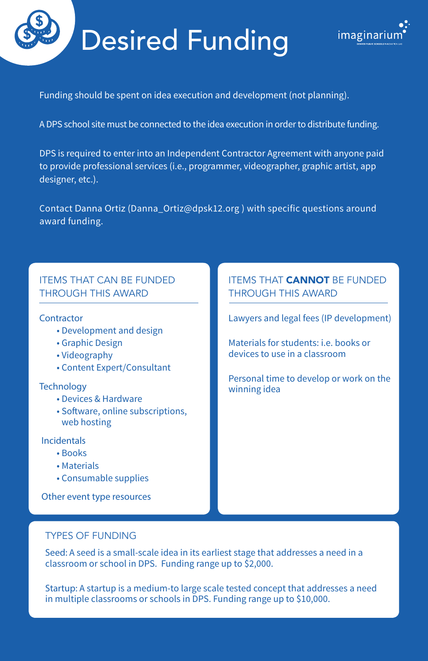# Desired Funding



Funding should be spent on idea execution and development (not planning).

A DPS school site must be connected to the idea execution in order to distribute funding.

DPS is required to enter into an Independent Contractor Agreement with anyone paid to provide professional services (i.e., programmer, videographer, graphic artist, app designer, etc.).

Contact Danna Ortiz ([Danna\\_Ortiz@dpsk12.org](Danna_Ortiz@dpsk12.org) ) with specific questions around award funding.

#### ITEMS THAT CAN BE FUNDED THROUGH THIS AWARD

#### **Contractor**

- Development and design
- Graphic Design
- Videography
- Content Expert/Consultant

#### **Technology**

- Devices & Hardware
- Software, online subscriptions, web hosting

Incidentals

- Books
- Materials
- Consumable supplies

Other event type resources

#### **ITEMS THAT CANNOT BE FUNDED** THROUGH THIS AWARD

Lawyers and legal fees (IP development)

Materials for students: i.e. books or devices to use in a classroom

Personal time to develop or work on the winning idea

#### TYPES OF FUNDING

Seed: A seed is a small-scale idea in its earliest stage that addresses a need in a classroom or school in DPS. Funding range up to \$2,000.

Startup: A startup is a medium-to large scale tested concept that addresses a need in multiple classrooms or schools in DPS. Funding range up to \$10,000.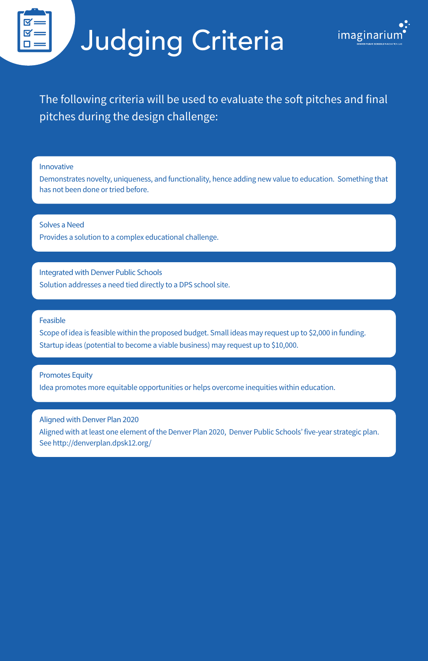# Judging Criteria



The following criteria will be used to evaluate the soft pitches and final pitches during the design challenge:

Innovative

Demonstrates novelty, uniqueness, and functionality, hence adding new value to education. Something that has not been done or tried before.

Solves a Need Provides a solution to a complex educational challenge.

Integrated with Denver Public Schools Solution addresses a need tied directly to a DPS school site.

Feasible

Scope of idea is feasible within the proposed budget. Small ideas may request up to \$2,000 in funding. Startup ideas (potential to become a viable business) may request up to \$10,000.

Promotes Equity

Idea promotes more equitable opportunities or helps overcome inequities within education.

Aligned with Denver Plan 2020

Aligned with at least one element of the Denver Plan 2020, Denver Public Schools' five-year strategic plan. See [http://denverplan.dpsk12.org/](http://denverplan.dpsk12.org/ )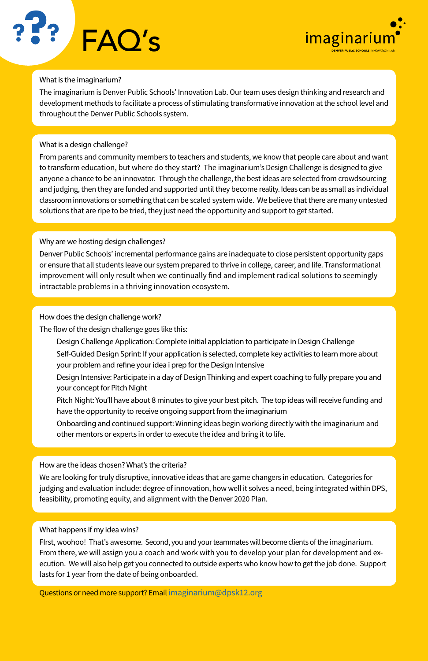



#### What is the imaginarium?

The imaginarium is Denver Public Schools' Innovation Lab. Our team uses design thinking and research and development methods to facilitate a process of stimulating transformative innovation at the school level and throughout the Denver Public Schools system.

#### What is a design challenge?

From parents and community members to teachers and students, we know that people care about and want to transform education, but where do they start? The imaginarium's Design Challenge is designed to give anyone a chance to be an innovator. Through the challenge, the best ideas are selected from crowdsourcing and judging, then they are funded and supported until they become reality. Ideas can be as small as individual classroom innovations or something that can be scaled system wide. We believe that there are many untested solutions that are ripe to be tried, they just need the opportunity and support to get started.

#### Why are we hosting design challenges?

Denver Public Schools' incremental performance gains are inadequate to close persistent opportunity gaps or ensure that all students leave our system prepared to thrive in college, career, and life. Transformational improvement will only result when we continually find and implement radical solutions to seemingly intractable problems in a thriving innovation ecosystem.

#### How does the design challenge work?

The flow of the design challenge goes like this:

- Design Challenge Application: Complete initial applciation to participate in Design Challenge
- Self-Guided Design Sprint: If your application is selected, complete key activities to learn more about your problem and refine your idea i prep for the Design Intensive
- Design Intensive: Participate in a day of Design Thinking and expert coaching to fully prepare you and your concept for Pitch Night
- Pitch Night: You'll have about 8 minutes to give your best pitch. The top ideas will receive funding and have the opportunity to receive ongoing support from the imaginarium
- Onboarding and continued support: Winning ideas begin working directly with the imaginarium and other mentors or experts in order to execute the idea and bring it to life.

#### How are the ideas chosen? What's the criteria?

We are looking for truly disruptive, innovative ideas that are game changers in education. Categories for judging and evaluation include: degree of innovation, how well it solves a need, being integrated within DPS, feasibility, promoting equity, and alignment with the Denver 2020 Plan.

#### What happens if my idea wins?

FIrst, woohoo! That's awesome. Second, you and your teammates will become clients of the imaginarium. From there, we will assign you a coach and work with you to develop your plan for development and execution. We will also help get you connected to outside experts who know how to get the job done. Support lasts for 1 year from the date of being onboarded.

Questions or need more support? Email [imaginarium@dpsk12.org](mailto: imaginarium@dpsk12.org )